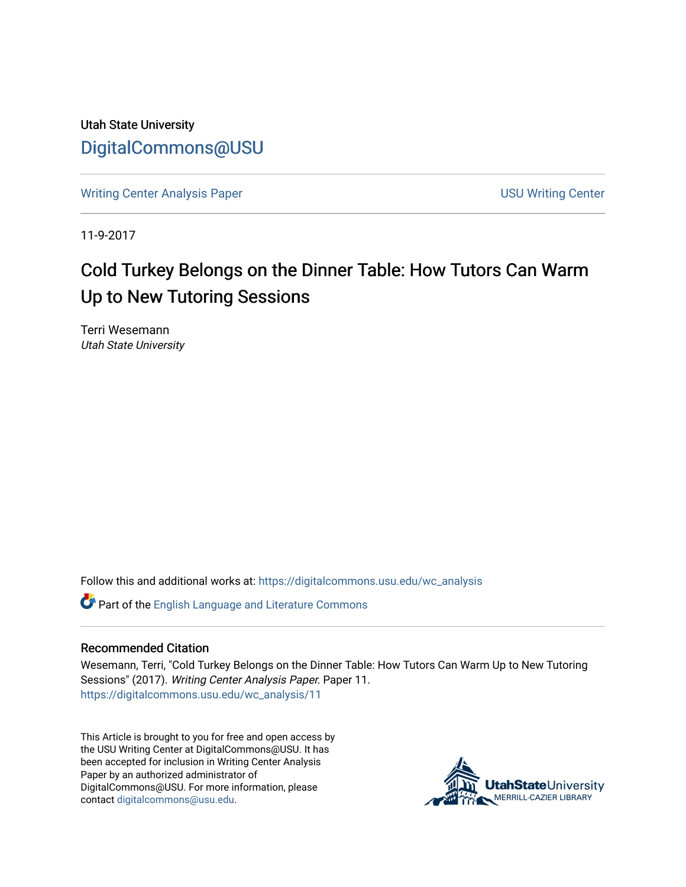Utah State University [DigitalCommons@USU](https://digitalcommons.usu.edu/)

[Writing Center Analysis Paper](https://digitalcommons.usu.edu/wc_analysis) New York 1980 and New York 1980 Writing Center

11-9-2017

# Cold Turkey Belongs on the Dinner Table: How Tutors Can Warm Up to New Tutoring Sessions

Terri Wesemann Utah State University

Follow this and additional works at: [https://digitalcommons.usu.edu/wc\\_analysis](https://digitalcommons.usu.edu/wc_analysis?utm_source=digitalcommons.usu.edu%2Fwc_analysis%2F11&utm_medium=PDF&utm_campaign=PDFCoverPages) 

Part of the [English Language and Literature Commons](http://network.bepress.com/hgg/discipline/455?utm_source=digitalcommons.usu.edu%2Fwc_analysis%2F11&utm_medium=PDF&utm_campaign=PDFCoverPages)

#### Recommended Citation

Wesemann, Terri, "Cold Turkey Belongs on the Dinner Table: How Tutors Can Warm Up to New Tutoring Sessions" (2017). Writing Center Analysis Paper. Paper 11. [https://digitalcommons.usu.edu/wc\\_analysis/11](https://digitalcommons.usu.edu/wc_analysis/11?utm_source=digitalcommons.usu.edu%2Fwc_analysis%2F11&utm_medium=PDF&utm_campaign=PDFCoverPages)

This Article is brought to you for free and open access by the USU Writing Center at DigitalCommons@USU. It has been accepted for inclusion in Writing Center Analysis Paper by an authorized administrator of DigitalCommons@USU. For more information, please contact [digitalcommons@usu.edu](mailto:digitalcommons@usu.edu).

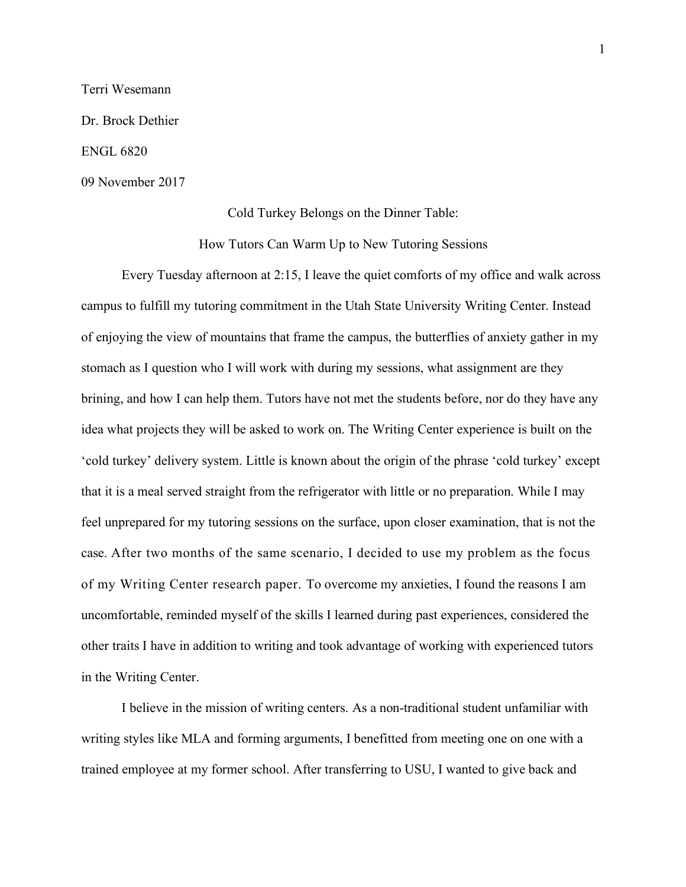#### Terri Wesemann

Dr. Brock Dethier

ENGL 6820

09 November 2017

### Cold Turkey Belongs on the Dinner Table:

How Tutors Can Warm Up to New Tutoring Sessions

Every Tuesday afternoon at 2:15, I leave the quiet comforts of my office and walk across campus to fulfill my tutoring commitment in the Utah State University Writing Center. Instead of enjoying the view of mountains that frame the campus, the butterflies of anxiety gather in my stomach as I question who I will work with during my sessions, what assignment are they brining, and how I can help them. Tutors have not met the students before, nor do they have any idea what projects they will be asked to work on. The Writing Center experience is built on the 'cold turkey' delivery system. Little is known about the origin of the phrase 'cold turkey' except that it is a meal served straight from the refrigerator with little or no preparation. While I may feel unprepared for my tutoring sessions on the surface, upon closer examination, that is not the case. After two months of the same scenario, I decided to use my problem as the focus of my Writing Center research paper. To overcome my anxieties, I found the reasons I am uncomfortable, reminded myself of the skills I learned during past experiences, considered the other traits I have in addition to writing and took advantage of working with experienced tutors in the Writing Center.

I believe in the mission of writing centers. As a non-traditional student unfamiliar with writing styles like MLA and forming arguments, I benefitted from meeting one on one with a trained employee at my former school. After transferring to USU, I wanted to give back and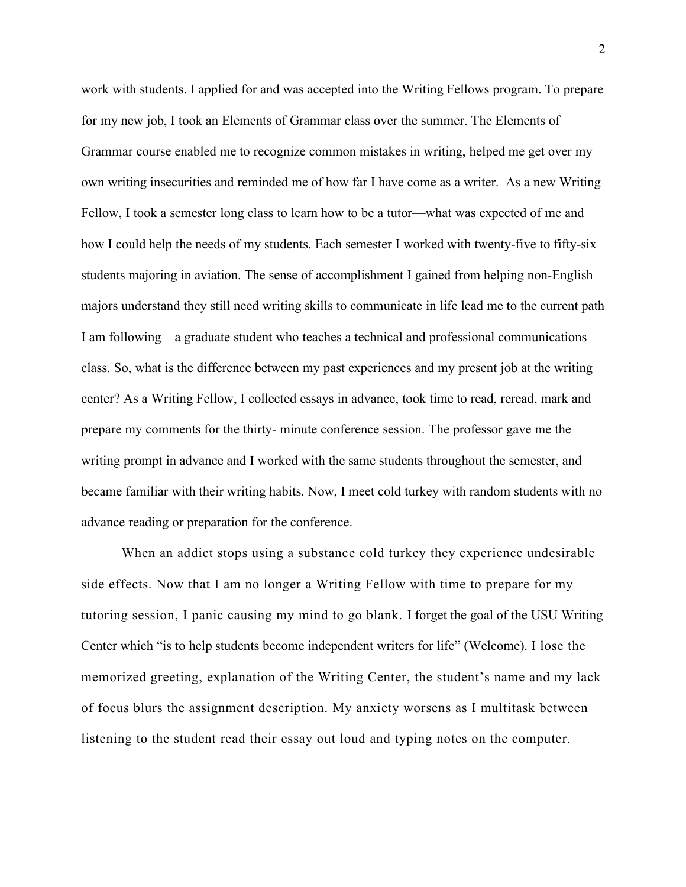work with students. I applied for and was accepted into the Writing Fellows program. To prepare for my new job, I took an Elements of Grammar class over the summer. The Elements of Grammar course enabled me to recognize common mistakes in writing, helped me get over my own writing insecurities and reminded me of how far I have come as a writer. As a new Writing Fellow, I took a semester long class to learn how to be a tutor—what was expected of me and how I could help the needs of my students. Each semester I worked with twenty-five to fifty-six students majoring in aviation. The sense of accomplishment I gained from helping non-English majors understand they still need writing skills to communicate in life lead me to the current path I am following—a graduate student who teaches a technical and professional communications class. So, what is the difference between my past experiences and my present job at the writing center? As a Writing Fellow, I collected essays in advance, took time to read, reread, mark and prepare my comments for the thirty- minute conference session. The professor gave me the writing prompt in advance and I worked with the same students throughout the semester, and became familiar with their writing habits. Now, I meet cold turkey with random students with no advance reading or preparation for the conference.

When an addict stops using a substance cold turkey they experience undesirable side effects. Now that I am no longer a Writing Fellow with time to prepare for my tutoring session, I panic causing my mind to go blank. I forget the goal of the USU Writing Center which "is to help students become independent writers for life" (Welcome). I lose the memorized greeting, explanation of the Writing Center, the student's name and my lack of focus blurs the assignment description. My anxiety worsens as I multitask between listening to the student read their essay out loud and typing notes on the computer.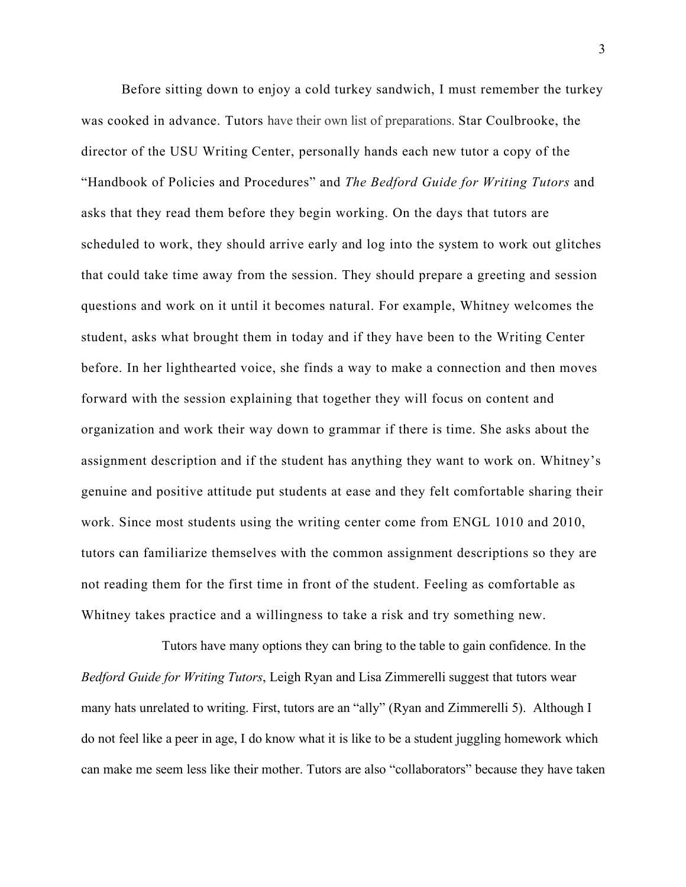Before sitting down to enjoy a cold turkey sandwich, I must remember the turkey was cooked in advance. Tutors have their own list of preparations. Star Coulbrooke, the director of the USU Writing Center, personally hands each new tutor a copy of the "Handbook of Policies and Procedures" and *The Bedford Guide for Writing Tutors* and asks that they read them before they begin working. On the days that tutors are scheduled to work, they should arrive early and log into the system to work out glitches that could take time away from the session. They should prepare a greeting and session questions and work on it until it becomes natural. For example, Whitney welcomes the student, asks what brought them in today and if they have been to the Writing Center before. In her lighthearted voice, she finds a way to make a connection and then moves forward with the session explaining that together they will focus on content and organization and work their way down to grammar if there is time. She asks about the assignment description and if the student has anything they want to work on. Whitney's genuine and positive attitude put students at ease and they felt comfortable sharing their work. Since most students using the writing center come from ENGL 1010 and 2010, tutors can familiarize themselves with the common assignment descriptions so they are not reading them for the first time in front of the student. Feeling as comfortable as Whitney takes practice and a willingness to take a risk and try something new.

Tutors have many options they can bring to the table to gain confidence. In the *Bedford Guide for Writing Tutors*, Leigh Ryan and Lisa Zimmerelli suggest that tutors wear many hats unrelated to writing. First, tutors are an "ally" (Ryan and Zimmerelli 5). Although I do not feel like a peer in age, I do know what it is like to be a student juggling homework which can make me seem less like their mother. Tutors are also "collaborators" because they have taken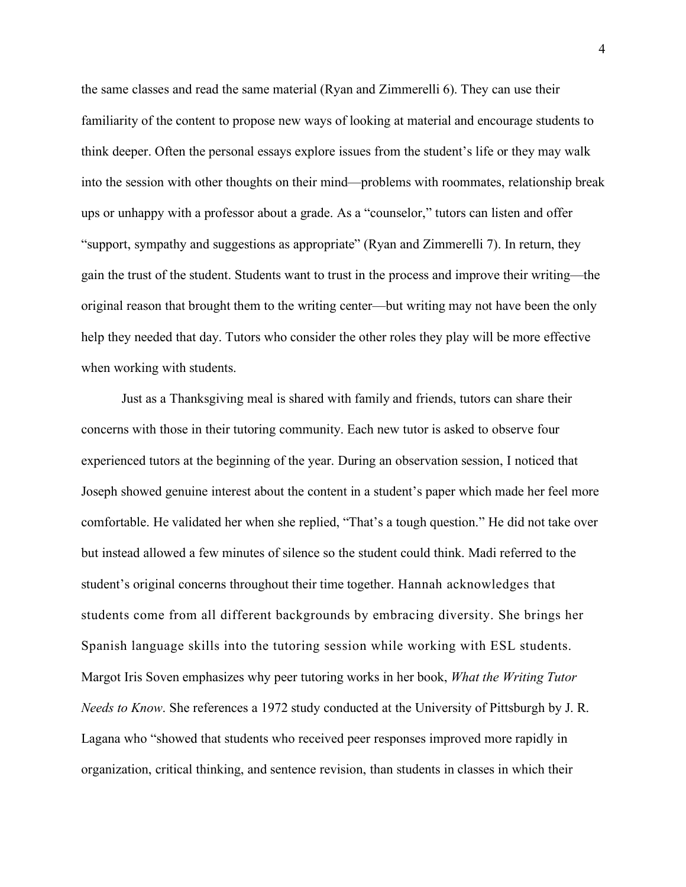the same classes and read the same material (Ryan and Zimmerelli 6). They can use their familiarity of the content to propose new ways of looking at material and encourage students to think deeper. Often the personal essays explore issues from the student's life or they may walk into the session with other thoughts on their mind—problems with roommates, relationship break ups or unhappy with a professor about a grade. As a "counselor," tutors can listen and offer "support, sympathy and suggestions as appropriate" (Ryan and Zimmerelli 7). In return, they gain the trust of the student. Students want to trust in the process and improve their writing—the original reason that brought them to the writing center—but writing may not have been the only help they needed that day. Tutors who consider the other roles they play will be more effective when working with students.

Just as a Thanksgiving meal is shared with family and friends, tutors can share their concerns with those in their tutoring community. Each new tutor is asked to observe four experienced tutors at the beginning of the year. During an observation session, I noticed that Joseph showed genuine interest about the content in a student's paper which made her feel more comfortable. He validated her when she replied, "That's a tough question." He did not take over but instead allowed a few minutes of silence so the student could think. Madi referred to the student's original concerns throughout their time together. Hannah acknowledges that students come from all different backgrounds by embracing diversity. She brings her Spanish language skills into the tutoring session while working with ESL students. Margot Iris Soven emphasizes why peer tutoring works in her book, *What the Writing Tutor Needs to Know*. She references a 1972 study conducted at the University of Pittsburgh by J. R. Lagana who "showed that students who received peer responses improved more rapidly in organization, critical thinking, and sentence revision, than students in classes in which their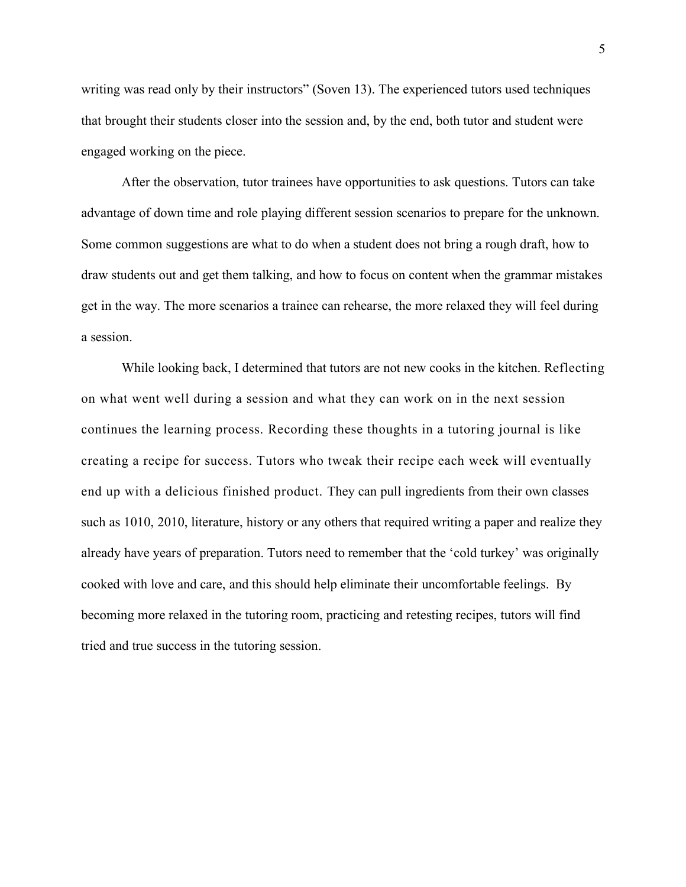writing was read only by their instructors" (Soven 13). The experienced tutors used techniques that brought their students closer into the session and, by the end, both tutor and student were engaged working on the piece.

After the observation, tutor trainees have opportunities to ask questions. Tutors can take advantage of down time and role playing different session scenarios to prepare for the unknown. Some common suggestions are what to do when a student does not bring a rough draft, how to draw students out and get them talking, and how to focus on content when the grammar mistakes get in the way. The more scenarios a trainee can rehearse, the more relaxed they will feel during a session.

While looking back, I determined that tutors are not new cooks in the kitchen. Reflecting on what went well during a session and what they can work on in the next session continues the learning process. Recording these thoughts in a tutoring journal is like creating a recipe for success. Tutors who tweak their recipe each week will eventually end up with a delicious finished product. They can pull ingredients from their own classes such as 1010, 2010, literature, history or any others that required writing a paper and realize they already have years of preparation. Tutors need to remember that the 'cold turkey' was originally cooked with love and care, and this should help eliminate their uncomfortable feelings. By becoming more relaxed in the tutoring room, practicing and retesting recipes, tutors will find tried and true success in the tutoring session.